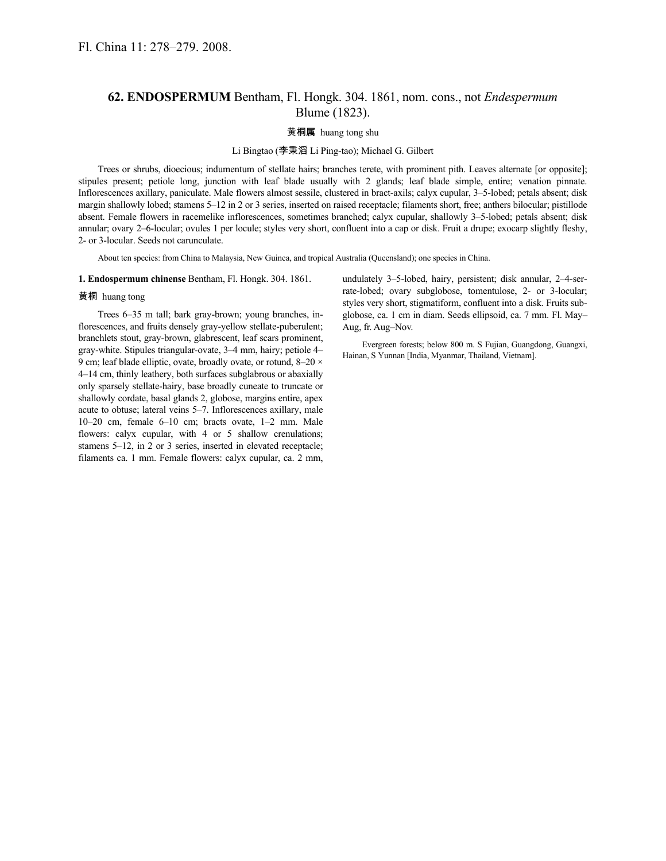# **62. ENDOSPERMUM** Bentham, Fl. Hongk. 304. 1861, nom. cons., not *Endespermum* Blume (1823).

## 黄桐属 huang tong shu

## Li Bingtao (李秉滔 Li Ping-tao); Michael G. Gilbert

Trees or shrubs, dioecious; indumentum of stellate hairs; branches terete, with prominent pith. Leaves alternate [or opposite]; stipules present; petiole long, junction with leaf blade usually with 2 glands; leaf blade simple, entire; venation pinnate. Inflorescences axillary, paniculate. Male flowers almost sessile, clustered in bract-axils; calyx cupular, 3–5-lobed; petals absent; disk margin shallowly lobed; stamens 5–12 in 2 or 3 series, inserted on raised receptacle; filaments short, free; anthers bilocular; pistillode absent. Female flowers in racemelike inflorescences, sometimes branched; calyx cupular, shallowly 3–5-lobed; petals absent; disk annular; ovary 2–6-locular; ovules 1 per locule; styles very short, confluent into a cap or disk. Fruit a drupe; exocarp slightly fleshy, 2- or 3-locular. Seeds not carunculate.

About ten species: from China to Malaysia, New Guinea, and tropical Australia (Queensland); one species in China.

### **1. Endospermum chinense** Bentham, Fl. Hongk. 304. 1861.

### 黄桐 huang tong

Trees 6–35 m tall; bark gray-brown; young branches, inflorescences, and fruits densely gray-yellow stellate-puberulent; branchlets stout, gray-brown, glabrescent, leaf scars prominent, gray-white. Stipules triangular-ovate, 3–4 mm, hairy; petiole 4– 9 cm; leaf blade elliptic, ovate, broadly ovate, or rotund, 8–20 × 4–14 cm, thinly leathery, both surfaces subglabrous or abaxially only sparsely stellate-hairy, base broadly cuneate to truncate or shallowly cordate, basal glands 2, globose, margins entire, apex acute to obtuse; lateral veins 5–7. Inflorescences axillary, male 10–20 cm, female 6–10 cm; bracts ovate, 1–2 mm. Male flowers: calyx cupular, with 4 or 5 shallow crenulations; stamens 5–12, in 2 or 3 series, inserted in elevated receptacle; filaments ca. 1 mm. Female flowers: calyx cupular, ca. 2 mm,

undulately 3–5-lobed, hairy, persistent; disk annular, 2–4-serrate-lobed; ovary subglobose, tomentulose, 2- or 3-locular; styles very short, stigmatiform, confluent into a disk. Fruits subglobose, ca. 1 cm in diam. Seeds ellipsoid, ca. 7 mm. Fl. May– Aug, fr. Aug–Nov.

Evergreen forests; below 800 m. S Fujian, Guangdong, Guangxi, Hainan, S Yunnan [India, Myanmar, Thailand, Vietnam].